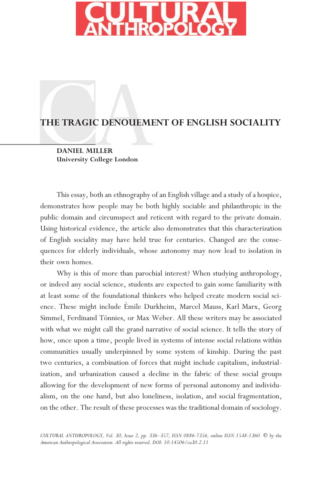

# **THE TRAGIC DENOUEMENT OF ENGLISH SOCIALITY**

**DANIEL MILLER University College London**

This essay, both an ethnography of an English village and a study of a hospice, demonstrates how people may be both highly sociable and philanthropic in the public domain and circumspect and reticent with regard to the private domain. Using historical evidence, the article also demonstrates that this characterization of English sociality may have held true for centuries. Changed are the consequences for elderly individuals, whose autonomy may now lead to isolation in their own homes.

Why is this of more than parochial interest? When studying anthropology, or indeed any social science, students are expected to gain some familiarity with at least some of the foundational thinkers who helped create modern social science. These might include Emile Durkheim, Marcel Mauss, Karl Marx, Georg Simmel, Ferdinand Tönnies, or Max Weber. All these writers may be associated with what we might call the grand narrative of social science. It tells the story of how, once upon a time, people lived in systems of intense social relations within communities usually underpinned by some system of kinship. During the past two centuries, a combination of forces that might include capitalism, industrialization, and urbanization caused a decline in the fabric of these social groups allowing for the development of new forms of personal autonomy and individualism, on the one hand, but also loneliness, isolation, and social fragmentation, on the other. The result of these processes was the traditional domain of sociology.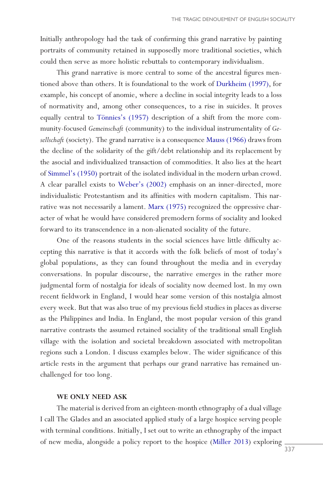<span id="page-1-0"></span>Initially anthropology had the task of confirming this grand narrative by painting portraits of community retained in supposedly more traditional societies, which could then serve as more holistic rebuttals to contemporary individualism.

This grand narrative is more central to some of the ancestral figures mentioned above than others. It is foundational to the work of [Durkheim \(1997\)](#page-19-0), for example, his concept of anomie, where a decline in social integrity leads to a loss of normativity and, among other consequences, to a rise in suicides. It proves equally central to Tönnies's (1957) description of a shift from the more community-focused *Gemeinschaft* (community) to the individual instrumentality of *Gesellschaft* (society). The grand narrative is a consequence [Mauss \(1966\)](#page-20-0) draws from the decline of the solidarity of the gift/debt relationship and its replacement by the asocial and individualized transaction of commodities. It also lies at the heart of [Simmel's \(1950\)](#page-20-0) portrait of the isolated individual in the modern urban crowd. A clear parallel exists to [Weber's \(2002\)](#page-21-0) emphasis on an inner-directed, more individualistic Protestantism and its affinities with modern capitalism. This narrative was not necessarily a lament. [Marx \(1975\)](#page-19-0) recognized the oppressive character of what he would have considered premodern forms of sociality and looked forward to its transcendence in a non-alienated sociality of the future.

One of the reasons students in the social sciences have little difficulty accepting this narrative is that it accords with the folk beliefs of most of today's global populations, as they can found throughout the media and in everyday conversations. In popular discourse, the narrative emerges in the rather more judgmental form of nostalgia for ideals of sociality now deemed lost. In my own recent fieldwork in England, I would hear some version of this nostalgia almost every week. But that was also true of my previous field studies in places as diverse as the Philippines and India. In England, the most popular version of this grand narrative contrasts the assumed retained sociality of the traditional small English village with the isolation and societal breakdown associated with metropolitan regions such a London. I discuss examples below. The wider significance of this article rests in the argument that perhaps our grand narrative has remained unchallenged for too long.

#### **WE ONLY NEED ASK**

The material is derived from an eighteen-month ethnography of a dual village I call The Glades and an associated applied study of a large hospice serving people with terminal conditions. Initially, I set out to write an ethnography of the impact of new media, alongside a policy report to the hospice [\(Miller 2013](#page-20-0)) exploring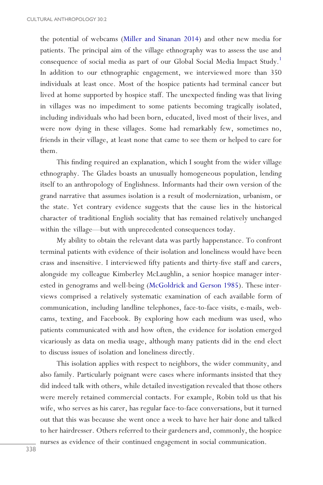<span id="page-2-0"></span>the potential of webcams [\(Miller and Sinanan 2014\)](#page-20-0) and other new media for patients. The principal aim of the village ethnography was to assess the use and consequence of social media as part of our Global Social Media Impact Study[.1](#page-18-0) In addition to our ethnographic engagement, we interviewed more than 350 individuals at least once. Most of the hospice patients had terminal cancer but lived at home supported by hospice staff. The unexpected finding was that living in villages was no impediment to some patients becoming tragically isolated, including individuals who had been born, educated, lived most of their lives, and were now dying in these villages. Some had remarkably few, sometimes no, friends in their village, at least none that came to see them or helped to care for them.

This finding required an explanation, which I sought from the wider village ethnography. The Glades boasts an unusually homogeneous population, lending itself to an anthropology of Englishness. Informants had their own version of the grand narrative that assumes isolation is a result of modernization, urbanism, or the state. Yet contrary evidence suggests that the cause lies in the historical character of traditional English sociality that has remained relatively unchanged within the village—but with unprecedented consequences today.

My ability to obtain the relevant data was partly happenstance. To confront terminal patients with evidence of their isolation and loneliness would have been crass and insensitive. I interviewed fifty patients and thirty-five staff and carers, alongside my colleague Kimberley McLaughlin, a senior hospice manager interested in genograms and well-being ([McGoldrick and Gerson 1985](#page-20-0)). These interviews comprised a relatively systematic examination of each available form of communication, including landline telephones, face-to-face visits, e-mails, webcams, texting, and Facebook. By exploring how each medium was used, who patients communicated with and how often, the evidence for isolation emerged vicariously as data on media usage, although many patients did in the end elect to discuss issues of isolation and loneliness directly.

This isolation applies with respect to neighbors, the wider community, and also family. Particularly poignant were cases where informants insisted that they did indeed talk with others, while detailed investigation revealed that those others were merely retained commercial contacts. For example, Robin told us that his wife, who serves as his carer, has regular face-to-face conversations, but it turned out that this was because she went once a week to have her hair done and talked to her hairdresser. Others referred to their gardeners and, commonly, the hospice nurses as evidence of their continued engagement in social communication.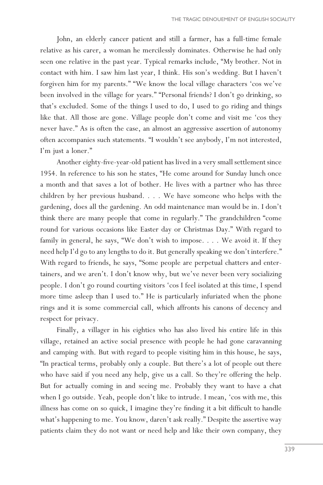John, an elderly cancer patient and still a farmer, has a full-time female relative as his carer, a woman he mercilessly dominates. Otherwise he had only seen one relative in the past year. Typical remarks include, "My brother. Not in contact with him. I saw him last year, I think. His son's wedding. But I haven't forgiven him for my parents." "We know the local village characters 'cos we've been involved in the village for years." "Personal friends? I don't go drinking, so that's excluded. Some of the things I used to do, I used to go riding and things like that. All those are gone. Village people don't come and visit me 'cos they never have." As is often the case, an almost an aggressive assertion of autonomy often accompanies such statements. "I wouldn't see anybody, I'm not interested, I'm just a loner."

Another eighty-five-year-old patient has lived in a very small settlement since 1954. In reference to his son he states, "He come around for Sunday lunch once a month and that saves a lot of bother. He lives with a partner who has three children by her previous husband. . . . We have someone who helps with the gardening, does all the gardening. An odd maintenance man would be in. I don't think there are many people that come in regularly." The grandchildren "come round for various occasions like Easter day or Christmas Day." With regard to family in general, he says, "We don't wish to impose. . . . We avoid it. If they need help I'd go to any lengths to do it. But generally speaking we don't interfere." With regard to friends, he says, "Some people are perpetual chatters and entertainers, and we aren't. I don't know why, but we've never been very socializing people. I don't go round courting visitors 'cos I feel isolated at this time, I spend more time asleep than I used to." He is particularly infuriated when the phone rings and it is some commercial call, which affronts his canons of decency and respect for privacy.

Finally, a villager in his eighties who has also lived his entire life in this village, retained an active social presence with people he had gone caravanning and camping with. But with regard to people visiting him in this house, he says, "In practical terms, probably only a couple. But there's a lot of people out there who have said if you need any help, give us a call. So they're offering the help. But for actually coming in and seeing me. Probably they want to have a chat when I go outside. Yeah, people don't like to intrude. I mean, 'cos with me, this illness has come on so quick, I imagine they're finding it a bit difficult to handle what's happening to me. You know, daren't ask really." Despite the assertive way patients claim they do not want or need help and like their own company, they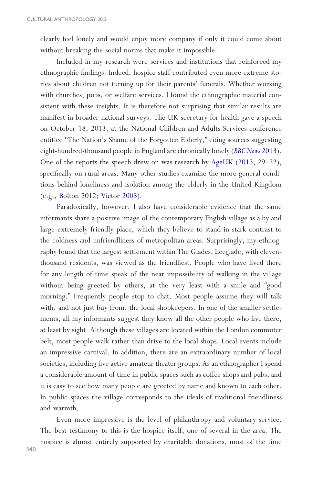<span id="page-4-0"></span>clearly feel lonely and would enjoy more company if only it could come about without breaking the social norms that make it impossible.

Included in my research were services and institutions that reinforced my ethnographic findings. Indeed, hospice staff contributed even more extreme stories about children not turning up for their parents' funerals. Whether working with churches, pubs, or welfare services, I found the ethnographic material consistent with these insights. It is therefore not surprising that similar results are manifest in broader national surveys. The UK secretary for health gave a speech on October 18, 2013, at the National Children and Adults Services conference entitled "The Nation's Shame of the Forgotten Elderly," citing sources suggesting eight-hundred-thousand people in England are chronically lonely (*[BBC News](#page-18-0)* 2013). One of the reports the speech drew on was research by [AgeUK \(2013](#page-18-0), 29–32), specifically on rural areas. Many other studies examine the more general conditions behind loneliness and isolation among the elderly in the United Kingdom (e.g., [Bolton 2012;](#page-19-0) [Victor 2003](#page-20-0)).

Paradoxically, however, I also have considerable evidence that the same informants share a positive image of the contemporary English village as a by and large extremely friendly place, which they believe to stand in stark contrast to the coldness and unfriendliness of metropolitan areas. Surprisingly, my ethnography found that the largest settlement within The Glades, Leeglade, with eleventhousand residents, was viewed as the friendliest. People who have lived there for any length of time speak of the near impossibility of walking in the village without being greeted by others, at the very least with a smile and "good morning." Frequently people stop to chat. Most people assume they will talk with, and not just buy from, the local shopkeepers. In one of the smaller settlements, all my informants suggest they know all the other people who live there, at least by sight. Although these villages are located within the London commuter belt, most people walk rather than drive to the local shops. Local events include an impressive carnival. In addition, there are an extraordinary number of local societies, including five active amateur theater groups. As an ethnographer I spend a considerable amount of time in public spaces such as coffee shops and pubs, and it is easy to see how many people are greeted by name and known to each other. In public spaces the village corresponds to the ideals of traditional friendliness and warmth.

Even more impressive is the level of philanthropy and voluntary service. The best testimony to this is the hospice itself, one of several in the area. The hospice is almost entirely supported by charitable donations, most of the time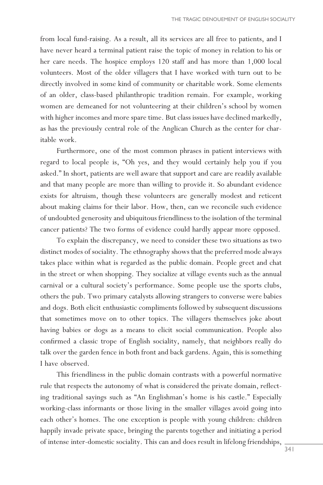from local fund-raising. As a result, all its services are all free to patients, and I have never heard a terminal patient raise the topic of money in relation to his or her care needs. The hospice employs 120 staff and has more than 1,000 local volunteers. Most of the older villagers that I have worked with turn out to be directly involved in some kind of community or charitable work. Some elements of an older, class-based philanthropic tradition remain. For example, working women are demeaned for not volunteering at their children's school by women with higher incomes and more spare time. But class issues have declined markedly, as has the previously central role of the Anglican Church as the center for charitable work.

Furthermore, one of the most common phrases in patient interviews with regard to local people is, "Oh yes, and they would certainly help you if you asked." In short, patients are well aware that support and care are readily available and that many people are more than willing to provide it. So abundant evidence exists for altruism, though these volunteers are generally modest and reticent about making claims for their labor. How, then, can we reconcile such evidence of undoubted generosity and ubiquitous friendliness to the isolation of the terminal cancer patients? The two forms of evidence could hardly appear more opposed.

To explain the discrepancy, we need to consider these two situations as two distinct modes of sociality. The ethnography shows that the preferred mode always takes place within what is regarded as the public domain. People greet and chat in the street or when shopping. They socialize at village events such as the annual carnival or a cultural society's performance. Some people use the sports clubs, others the pub. Two primary catalysts allowing strangers to converse were babies and dogs. Both elicit enthusiastic compliments followed by subsequent discussions that sometimes move on to other topics. The villagers themselves joke about having babies or dogs as a means to elicit social communication. People also confirmed a classic trope of English sociality, namely, that neighbors really do talk over the garden fence in both front and back gardens. Again, this is something I have observed.

This friendliness in the public domain contrasts with a powerful normative rule that respects the autonomy of what is considered the private domain, reflecting traditional sayings such as "An Englishman's home is his castle." Especially working-class informants or those living in the smaller villages avoid going into each other's homes. The one exception is people with young children: children happily invade private space, bringing the parents together and initiating a period of intense inter-domestic sociality. This can and does result in lifelong friendships,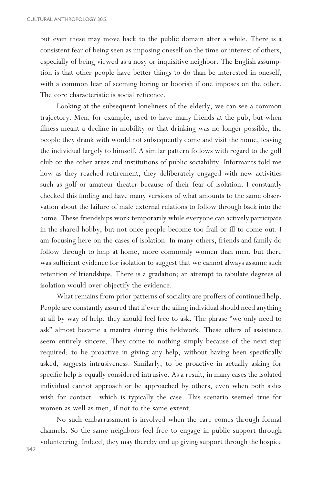but even these may move back to the public domain after a while. There is a consistent fear of being seen as imposing oneself on the time or interest of others, especially of being viewed as a nosy or inquisitive neighbor. The English assumption is that other people have better things to do than be interested in oneself, with a common fear of seeming boring or boorish if one imposes on the other. The core characteristic is social reticence.

Looking at the subsequent loneliness of the elderly, we can see a common trajectory. Men, for example, used to have many friends at the pub, but when illness meant a decline in mobility or that drinking was no longer possible, the people they drank with would not subsequently come and visit the home, leaving the individual largely to himself. A similar pattern follows with regard to the golf club or the other areas and institutions of public sociability. Informants told me how as they reached retirement, they deliberately engaged with new activities such as golf or amateur theater because of their fear of isolation. I constantly checked this finding and have many versions of what amounts to the same observation about the failure of male external relations to follow through back into the home. These friendships work temporarily while everyone can actively participate in the shared hobby, but not once people become too frail or ill to come out. I am focusing here on the cases of isolation. In many others, friends and family do follow through to help at home, more commonly women than men, but there was sufficient evidence for isolation to suggest that we cannot always assume such retention of friendships. There is a gradation; an attempt to tabulate degrees of isolation would over objectify the evidence.

What remains from prior patterns of sociality are proffers of continued help. People are constantly assured that if ever the ailing individual should need anything at all by way of help, they should feel free to ask. The phrase "we only need to ask" almost became a mantra during this fieldwork. These offers of assistance seem entirely sincere. They come to nothing simply because of the next step required: to be proactive in giving any help, without having been specifically asked, suggests intrusiveness. Similarly, to be proactive in actually asking for specific help is equally considered intrusive. As a result, in many cases the isolated individual cannot approach or be approached by others, even when both sides wish for contact—which is typically the case. This scenario seemed true for women as well as men, if not to the same extent.

No such embarrassment is involved when the care comes through formal channels. So the same neighbors feel free to engage in public support through volunteering. Indeed, they may thereby end up giving support through the hospice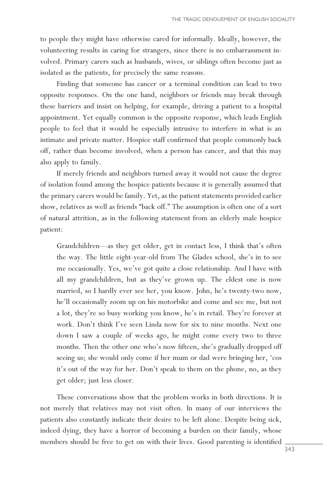to people they might have otherwise cared for informally. Ideally, however, the volunteering results in caring for strangers, since there is no embarrassment involved. Primary carers such as husbands, wives, or siblings often become just as isolated as the patients, for precisely the same reasons.

Finding that someone has cancer or a terminal condition can lead to two opposite responses. On the one hand, neighbors or friends may break through these barriers and insist on helping, for example, driving a patient to a hospital appointment. Yet equally common is the opposite response, which leads English people to feel that it would be especially intrusive to interfere in what is an intimate and private matter. Hospice staff confirmed that people commonly back off, rather than become involved, when a person has cancer, and that this may also apply to family.

If merely friends and neighbors turned away it would not cause the degree of isolation found among the hospice patients because it is generally assumed that the primary carers would be family. Yet, as the patient statements provided earlier show, relatives as well as friends "back off." The assumption is often one of a sort of natural attrition, as in the following statement from an elderly male hospice patient:

Grandchildren—as they get older, get in contact less, I think that's often the way. The little eight-year-old from The Glades school, she's in to see me occasionally. Yes, we've got quite a close relationship. And I have with all my grandchildren, but as they've grown up. The eldest one is now married, so I hardly ever see her, you know. John, he's twenty-two now, he'll occasionally zoom up on his motorbike and come and see me, but not a lot, they're so busy working you know, he's in retail. They're forever at work. Don't think I've seen Linda now for six to nine months. Next one down I saw a couple of weeks ago, he might come every two to three months. Then the other one who's now fifteen, she's gradually dropped off seeing us; she would only come if her mum or dad were bringing her, 'cos it's out of the way for her. Don't speak to them on the phone, no, as they get older; just less closer.

These conversations show that the problem works in both directions. It is not merely that relatives may not visit often. In many of our interviews the patients also constantly indicate their desire to be left alone. Despite being sick, indeed dying, they have a horror of becoming a burden on their family, whose members should be free to get on with their lives. Good parenting is identified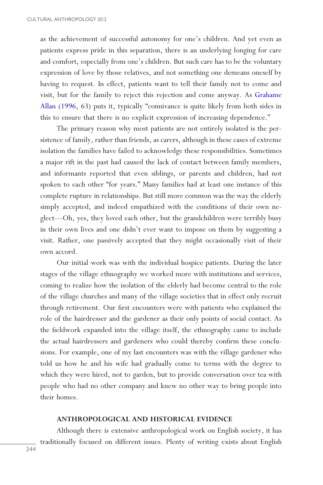<span id="page-8-0"></span>as the achievement of successful autonomy for one's children. And yet even as patients express pride in this separation, there is an underlying longing for care and comfort, especially from one's children. But such care has to be the voluntary expression of love by those relatives, and not something one demeans oneself by having to request. In effect, patients want to tell their family not to come and visit, but for the family to reject this rejection and come anyway. As [Grahame](#page-18-0) [Allan \(1996,](#page-18-0) 63) puts it, typically "connivance is quite likely from both sides in this to ensure that there is no explicit expression of increasing dependence."

The primary reason why most patients are not entirely isolated is the persistence of family, rather than friends, as carers, although in these cases of extreme isolation the families have failed to acknowledge these responsibilities. Sometimes a major rift in the past had caused the lack of contact between family members, and informants reported that even siblings, or parents and children, had not spoken to each other "for years." Many families had at least one instance of this complete rupture in relationships. But still more common was the way the elderly simply accepted, and indeed empathized with the conditions of their own neglect—Oh, yes, they loved each other, but the grandchildren were terribly busy in their own lives and one didn't ever want to impose on them by suggesting a visit. Rather, one passively accepted that they might occasionally visit of their own accord.

Our initial work was with the individual hospice patients. During the later stages of the village ethnography we worked more with institutions and services, coming to realize how the isolation of the elderly had become central to the role of the village churches and many of the village societies that in effect only recruit through retirement. Our first encounters were with patients who explained the role of the hairdresser and the gardener as their only points of social contact. As the fieldwork expanded into the village itself, the ethnography came to include the actual hairdressers and gardeners who could thereby confirm these conclusions. For example, one of my last encounters was with the village gardener who told us how he and his wife had gradually come to terms with the degree to which they were hired, not to garden, but to provide conversation over tea with people who had no other company and knew no other way to bring people into their homes.

# **ANTHROPOLOGICAL AND HISTORICAL EVIDENCE**

Although there is extensive anthropological work on English society, it has traditionally focused on different issues. Plenty of writing exists about English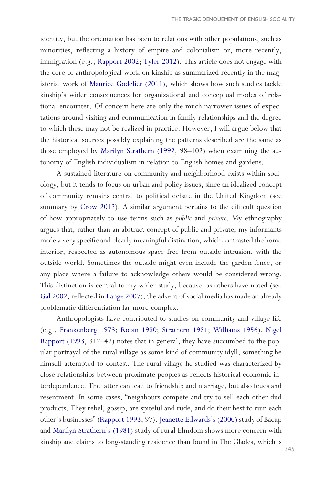<span id="page-9-0"></span>identity, but the orientation has been to relations with other populations, such as minorities, reflecting a history of empire and colonialism or, more recently, immigration (e.g., [Rapport 2002](#page-20-0); [Tyler 2012](#page-20-0)). This article does not engage with the core of anthropological work on kinship as summarized recently in the magisterial work of [Maurice Godelier \(2011\),](#page-19-0) which shows how such studies tackle kinship's wider consequences for organizational and conceptual modes of relational encounter. Of concern here are only the much narrower issues of expectations around visiting and communication in family relationships and the degree to which these may not be realized in practice. However, I will argue below that the historical sources possibly explaining the patterns described are the same as those employed by [Marilyn Strathern \(1992](#page-20-0), 98–102) when examining the autonomy of English individualism in relation to English homes and gardens.

A sustained literature on community and neighborhood exists within sociology, but it tends to focus on urban and policy issues, since an idealized concept of community remains central to political debate in the United Kingdom (see summary by [Crow 2012\)](#page-19-0). A similar argument pertains to the difficult question of how appropriately to use terms such as *public* and *private*. My ethnography argues that, rather than an abstract concept of public and private, my informants made a very specific and clearly meaningful distinction, which contrasted the home interior, respected as autonomous space free from outside intrusion, with the outside world. Sometimes the outside might even include the garden fence, or any place where a failure to acknowledge others would be considered wrong. This distinction is central to my wider study, because, as others have noted (see [Gal 2002,](#page-19-0) reflected in [Lange 2007\)](#page-19-0), the advent of social media has made an already problematic differentiation far more complex.

Anthropologists have contributed to studies on community and village life (e.g., [Frankenberg 1973](#page-19-0); [Robin 1980;](#page-20-0) [Strathern 1981;](#page-20-0) [Williams 1956\)](#page-21-0). [Nigel](#page-20-0) [Rapport \(1993,](#page-20-0) 312–42) notes that in general, they have succumbed to the popular portrayal of the rural village as some kind of community idyll, something he himself attempted to contest. The rural village he studied was characterized by close relationships between proximate peoples as reflects historical economic interdependence. The latter can lead to friendship and marriage, but also feuds and resentment. In some cases, "neighbours compete and try to sell each other dud products. They rebel, gossip, are spiteful and rude, and do their best to ruin each other's businesses" ([Rapport 1993,](#page-20-0) 97). [Jeanette Edwards's \(2000\)](#page-19-0) study of Bacup and [Marilyn Strathern's \(1981\)](#page-20-0) study of rural Elmdom shows more concern with kinship and claims to long-standing residence than found in The Glades, which is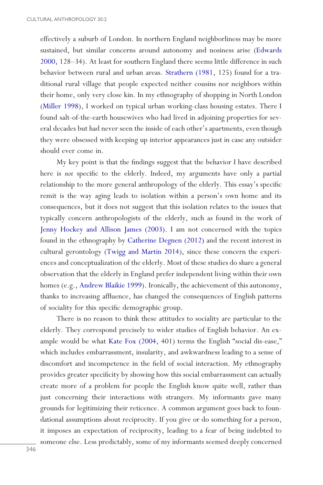<span id="page-10-0"></span>effectively a suburb of London. In northern England neighborliness may be more sustained, but similar concerns around autonomy and nosiness arise ([Edwards](#page-19-0) [2000,](#page-19-0) 128–34). At least for southern England there seems little difference in such behavior between rural and urban areas. [Strathern \(1981](#page-20-0), 125) found for a traditional rural village that people expected neither cousins nor neighbors within their home, only very close kin. In my ethnography of shopping in North London [\(Miller 1998](#page-20-0)), I worked on typical urban working-class housing estates. There I found salt-of-the-earth housewives who had lived in adjoining properties for several decades but had never seen the inside of each other's apartments, even though they were obsessed with keeping up interior appearances just in case any outsider should ever come in.

My key point is that the findings suggest that the behavior I have described here is *not* specific to the elderly. Indeed, my arguments have only a partial relationship to the more general anthropology of the elderly. This essay's specific remit is the way aging leads to isolation within a person's own home and its consequences, but it does not suggest that this isolation relates to the issues that typically concern anthropologists of the elderly, such as found in the work of [Jenny Hockey and Allison James \(2003\)](#page-19-0). I am not concerned with the topics found in the ethnography by [Catherine Degnen \(2012\)](#page-19-0) and the recent interest in cultural gerontology ([Twigg and Martin 2014\)](#page-20-0), since these concern the experiences and conceptualization of the elderly. Most of these studies do share a general observation that the elderly in England prefer independent living within their own homes (e.g., [Andrew Blaikie 1999](#page-18-0)). Ironically, the achievement of this autonomy, thanks to increasing affluence, has changed the consequences of English patterns of sociality for this specific demographic group.

There is no reason to think these attitudes to sociality are particular to the elderly. They correspond precisely to wider studies of English behavior. An example would be what [Kate Fox \(2004,](#page-19-0) 401) terms the English "social dis-ease," which includes embarrassment, insularity, and awkwardness leading to a sense of discomfort and incompetence in the field of social interaction. My ethnography provides greater specificity by showing how this social embarrassment can actually create more of a problem for people the English know quite well, rather than just concerning their interactions with strangers. My informants gave many grounds for legitimizing their reticence. A common argument goes back to foundational assumptions about reciprocity. If you give or do something for a person, it imposes an expectation of reciprocity, leading to a fear of being indebted to someone else. Less predictably, some of my informants seemed deeply concerned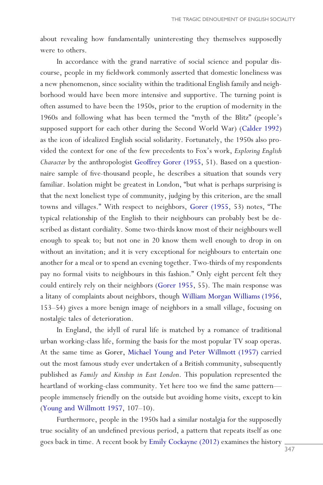<span id="page-11-0"></span>about revealing how fundamentally uninteresting they themselves supposedly were to others.

In accordance with the grand narrative of social science and popular discourse, people in my fieldwork commonly asserted that domestic loneliness was a new phenomenon, since sociality within the traditional English family and neighborhood would have been more intensive and supportive. The turning point is often assumed to have been the 1950s, prior to the eruption of modernity in the 1960s and following what has been termed the "myth of the Blitz" (people's supposed support for each other during the Second World War) ([Calder 1992](#page-19-0)) as the icon of idealized English social solidarity. Fortunately, the 1950s also provided the context for one of the few precedents to Fox's work, *Exploring English Character* by the anthropologist [Geoffrey Gorer \(1955](#page-19-0), 51). Based on a questionnaire sample of five-thousand people, he describes a situation that sounds very familiar. Isolation might be greatest in London, "but what is perhaps surprising is that the next loneliest type of community, judging by this criterion, are the small towns and villages." With respect to neighbors, [Gorer \(1955,](#page-19-0) 53) notes, "The typical relationship of the English to their neighbours can probably best be described as distant cordiality. Some two-thirds know most of their neighbours well enough to speak to; but not one in 20 know them well enough to drop in on without an invitation; and it is very exceptional for neighbours to entertain one another for a meal or to spend an evening together. Two-thirds of my respondents pay no formal visits to neighbours in this fashion." Only eight percent felt they could entirely rely on their neighbors ([Gorer 1955](#page-19-0), 55). The main response was a litany of complaints about neighbors, though [William Morgan Williams \(1956,](#page-21-0) 153–54) gives a more benign image of neighbors in a small village, focusing on nostalgic tales of deterioration.

In England, the idyll of rural life is matched by a romance of traditional urban working-class life, forming the basis for the most popular TV soap operas. At the same time as Gorer, [Michael Young and Peter Willmott \(1957\)](#page-21-0) carried out the most famous study ever undertaken of a British community, subsequently published as *Family and Kinship in East London*. This population represented the heartland of working-class community. Yet here too we find the same pattern people immensely friendly on the outside but avoiding home visits, except to kin [\(Young and Willmott 1957,](#page-21-0) 107–10).

Furthermore, people in the 1950s had a similar nostalgia for the supposedly true sociality of an undefined previous period, a pattern that repeats itself as one goes back in time. A recent book by [Emily Cockayne \(2012\)](#page-19-0) examines the history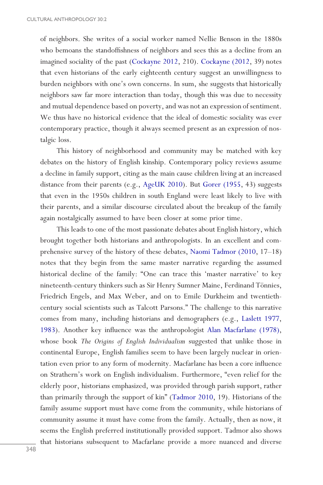<span id="page-12-0"></span>of neighbors. She writes of a social worker named Nellie Benson in the 1880s who bemoans the standoffishness of neighbors and sees this as a decline from an imagined sociality of the past [\(Cockayne 2012](#page-19-0), 210). [Cockayne \(2012,](#page-19-0) 39) notes that even historians of the early eighteenth century suggest an unwillingness to burden neighbors with one's own concerns. In sum, she suggests that historically neighbors saw far more interaction than today, though this was due to necessity and mutual dependence based on poverty, and was not an expression of sentiment. We thus have no historical evidence that the ideal of domestic sociality was ever contemporary practice, though it always seemed present as an expression of nostalgic loss.

This history of neighborhood and community may be matched with key debates on the history of English kinship. Contemporary policy reviews assume a decline in family support, citing as the main cause children living at an increased distance from their parents (e.g., [AgeUK 2010](#page-18-0)). But [Gorer \(1955](#page-19-0), 43) suggests that even in the 1950s children in south England were least likely to live with their parents, and a similar discourse circulated about the breakup of the family again nostalgically assumed to have been closer at some prior time.

This leads to one of the most passionate debates about English history, which brought together both historians and anthropologists. In an excellent and comprehensive survey of the history of these debates, [Naomi Tadmor \(2010](#page-20-0), 17–18) notes that they begin from the same master narrative regarding the assumed historical decline of the family: "One can trace this 'master narrative' to key nineteenth-century thinkers such as Sir Henry Sumner Maine, Ferdinand Tönnies, Friedrich Engels, and Max Weber, and on to Emile Durkheim and twentiethcentury social scientists such as Talcott Parsons." The challenge to this narrative comes from many, including historians and demographers (e.g., [Laslett 1977,](#page-19-0) [1983\)](#page-19-0). Another key influence was the anthropologist [Alan Macfarlane \(1978\),](#page-20-0) whose book *The Origins of English Individualism* suggested that unlike those in continental Europe, English families seem to have been largely nuclear in orientation even prior to any form of modernity. Macfarlane has been a core influence on Strathern's work on English individualism. Furthermore, "even relief for the elderly poor, historians emphasized, was provided through parish support, rather than primarily through the support of kin" [\(Tadmor 2010,](#page-20-0) 19). Historians of the family assume support must have come from the community, while historians of community assume it must have come from the family. Actually, then as now, it seems the English preferred institutionally provided support. Tadmor also shows that historians subsequent to Macfarlane provide a more nuanced and diverse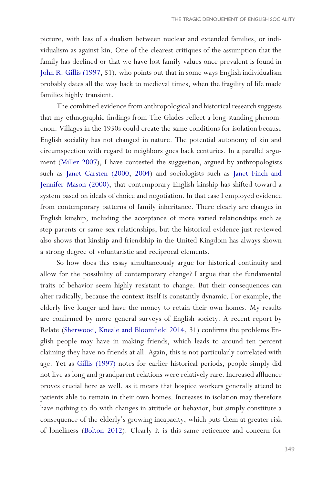<span id="page-13-0"></span>picture, with less of a dualism between nuclear and extended families, or individualism as against kin. One of the clearest critiques of the assumption that the family has declined or that we have lost family values once prevalent is found in [John R. Gillis \(1997](#page-19-0), 51), who points out that in some ways English individualism probably dates all the way back to medieval times, when the fragility of life made families highly transient.

The combined evidence from anthropological and historical research suggests that my ethnographic findings from The Glades reflect a long-standing phenomenon. Villages in the 1950s could create the same conditions for isolation because English sociality has not changed in nature. The potential autonomy of kin and circumspection with regard to neighbors goes back centuries. In a parallel argument [\(Miller 2007\)](#page-20-0), I have contested the suggestion, argued by anthropologists such as [Janet Carsten \(2000](#page-19-0), [2004](#page-19-0)) and sociologists such as [Janet Finch and](#page-19-0) [Jennifer Mason \(2000\),](#page-19-0) that contemporary English kinship has shifted toward a system based on ideals of choice and negotiation. In that case I employed evidence from contemporary patterns of family inheritance. There clearly are changes in English kinship, including the acceptance of more varied relationships such as step-parents or same-sex relationships, but the historical evidence just reviewed also shows that kinship and friendship in the United Kingdom has always shown a strong degree of voluntaristic and reciprocal elements.

So how does this essay simultaneously argue for historical continuity and allow for the possibility of contemporary change? I argue that the fundamental traits of behavior seem highly resistant to change. But their consequences can alter radically, because the context itself is constantly dynamic. For example, the elderly live longer and have the money to retain their own homes. My results are confirmed by more general surveys of English society. A recent report by Relate ([Sherwood, Kneale and Bloomfield 2014,](#page-20-0) 31) confirms the problems English people may have in making friends, which leads to around ten percent claiming they have no friends at all. Again, this is not particularly correlated with age. Yet as [Gillis \(1997\)](#page-19-0) notes for earlier historical periods, people simply did not live as long and grandparent relations were relatively rare. Increased affluence proves crucial here as well, as it means that hospice workers generally attend to patients able to remain in their own homes. Increases in isolation may therefore have nothing to do with changes in attitude or behavior, but simply constitute a consequence of the elderly's growing incapacity, which puts them at greater risk of loneliness [\(Bolton 2012](#page-19-0)). Clearly it is this same reticence and concern for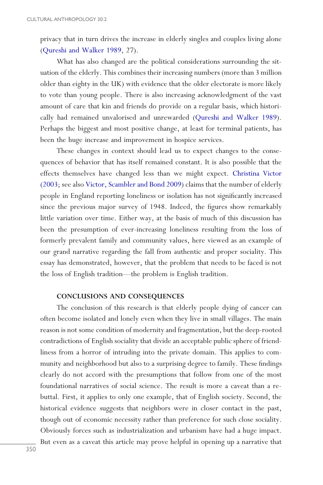<span id="page-14-0"></span>privacy that in turn drives the increase in elderly singles and couples living alone ([Qureshi and Walker 1989](#page-20-0), 27).

What has also changed are the political considerations surrounding the situation of the elderly. This combines their increasing numbers (more than 3 million older than eighty in the UK) with evidence that the older electorate is more likely to vote than young people. There is also increasing acknowledgment of the vast amount of care that kin and friends do provide on a regular basis, which historically had remained unvalorised and unrewarded [\(Qureshi and Walker 1989](#page-20-0)). Perhaps the biggest and most positive change, at least for terminal patients, has been the huge increase and improvement in hospice services.

These changes in context should lead us to expect changes to the consequences of behavior that has itself remained constant. It is also possible that the effects themselves have changed less than we might expect. [Christina Victor](#page-20-0) [\(2003](#page-20-0); see also [Victor, Scambler and Bond 2009\)](#page-21-0) claims that the number of elderly people in England reporting loneliness or isolation has not significantly increased since the previous major survey of 1948. Indeed, the figures show remarkably little variation over time. Either way, at the basis of much of this discussion has been the presumption of ever-increasing loneliness resulting from the loss of formerly prevalent family and community values, here viewed as an example of our grand narrative regarding the fall from authentic and proper sociality. This essay has demonstrated, however, that the problem that needs to be faced is not the loss of English tradition—the problem is English tradition.

# **CONCLUSIONS AND CONSEQUENCES**

The conclusion of this research is that elderly people dying of cancer can often become isolated and lonely even when they live in small villages. The main reason is not some condition of modernity and fragmentation, but the deep-rooted contradictions of English sociality that divide an acceptable public sphere of friendliness from a horror of intruding into the private domain. This applies to community and neighborhood but also to a surprising degree to family. These findings clearly do not accord with the presumptions that follow from one of the most foundational narratives of social science. The result is more a caveat than a rebuttal. First, it applies to only one example, that of English society. Second, the historical evidence suggests that neighbors were in closer contact in the past, though out of economic necessity rather than preference for such close sociality. Obviously forces such as industrialization and urbanism have had a huge impact. But even as a caveat this article may prove helpful in opening up a narrative that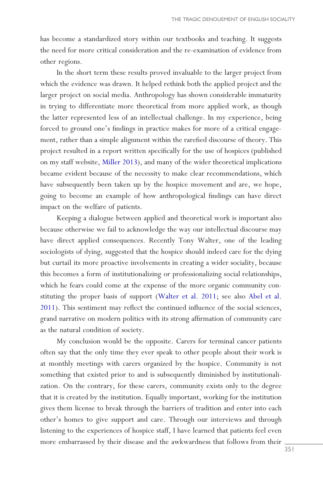<span id="page-15-0"></span>has become a standardized story within our textbooks and teaching. It suggests the need for more critical consideration and the re-examination of evidence from other regions.

In the short term these results proved invaluable to the larger project from which the evidence was drawn. It helped rethink both the applied project and the larger project on social media. Anthropology has shown considerable immaturity in trying to differentiate more theoretical from more applied work, as though the latter represented less of an intellectual challenge. In my experience, being forced to ground one's findings in practice makes for more of a critical engagement, rather than a simple alignment within the rarefied discourse of theory. This project resulted in a report written specifically for the use of hospices (published on my staff website, [Miller 2013\)](#page-20-0), and many of the wider theoretical implications became evident because of the necessity to make clear recommendations, which have subsequently been taken up by the hospice movement and are, we hope, going to become an example of how anthropological findings can have direct impact on the welfare of patients.

Keeping a dialogue between applied and theoretical work is important also because otherwise we fail to acknowledge the way our intellectual discourse may have direct applied consequences. Recently Tony Walter, one of the leading sociologists of dying, suggested that the hospice should indeed care for the dying but curtail its more proactive involvements in creating a wider sociality, because this becomes a form of institutionalizing or professionalizing social relationships, which he fears could come at the expense of the more organic community constituting the proper basis of support [\(Walter et al. 2011](#page-21-0); see also [Abel et al.](#page-18-0) [2011](#page-18-0)). This sentiment may reflect the continued influence of the social sciences, grand narrative on modern politics with its strong affirmation of community care as the natural condition of society.

My conclusion would be the opposite. Carers for terminal cancer patients often say that the only time they ever speak to other people about their work is at monthly meetings with carers organized by the hospice. Community is not something that existed prior to and is subsequently diminished by institutionalization. On the contrary, for these carers, community exists only to the degree that it is created by the institution. Equally important, working for the institution gives them license to break through the barriers of tradition and enter into each other's homes to give support and care. Through our interviews and through listening to the experiences of hospice staff, I have learned that patients feel even more embarrassed by their disease and the awkwardness that follows from their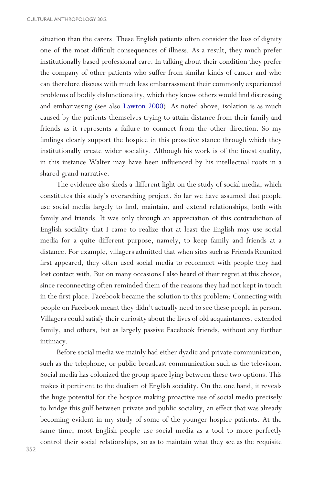<span id="page-16-0"></span>situation than the carers. These English patients often consider the loss of dignity one of the most difficult consequences of illness. As a result, they much prefer institutionally based professional care. In talking about their condition they prefer the company of other patients who suffer from similar kinds of cancer and who can therefore discuss with much less embarrassment their commonly experienced problems of bodily disfunctionality, which they know others would find distressing and embarrassing (see also [Lawton 2000](#page-19-0)). As noted above, isolation is as much caused by the patients themselves trying to attain distance from their family and friends as it represents a failure to connect from the other direction. So my findings clearly support the hospice in this proactive stance through which they institutionally create wider sociality. Although his work is of the finest quality, in this instance Walter may have been influenced by his intellectual roots in a shared grand narrative.

The evidence also sheds a different light on the study of social media, which constitutes this study's overarching project. So far we have assumed that people use social media largely to find, maintain, and extend relationships, both with family and friends. It was only through an appreciation of this contradiction of English sociality that I came to realize that at least the English may use social media for a quite different purpose, namely, to keep family and friends at a distance. For example, villagers admitted that when sites such as Friends Reunited first appeared, they often used social media to reconnect with people they had lost contact with. But on many occasions I also heard of their regret at this choice, since reconnecting often reminded them of the reasons they had not kept in touch in the first place. Facebook became the solution to this problem: Connecting with people on Facebook meant they didn't actually need to see these people in person. Villagers could satisfy their curiosity about the lives of old acquaintances, extended family, and others, but as largely passive Facebook friends, without any further intimacy.

Before social media we mainly had either dyadic and private communication, such as the telephone, or public broadcast communication such as the television. Social media has colonized the group space lying between these two options. This makes it pertinent to the dualism of English sociality. On the one hand, it reveals the huge potential for the hospice making proactive use of social media precisely to bridge this gulf between private and public sociality, an effect that was already becoming evident in my study of some of the younger hospice patients. At the same time, most English people use social media as a tool to more perfectly control their social relationships, so as to maintain what they see as the requisite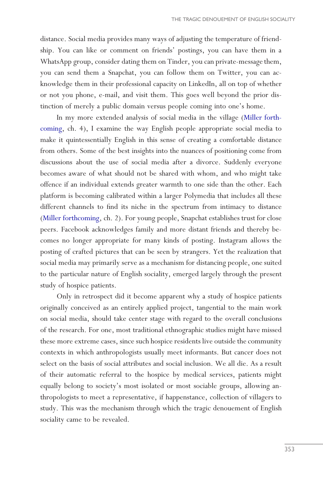<span id="page-17-0"></span>distance. Social media provides many ways of adjusting the temperature of friendship. You can like or comment on friends' postings, you can have them in a WhatsApp group, consider dating them on Tinder, you can private-message them, you can send them a Snapchat, you can follow them on Twitter, you can acknowledge them in their professional capacity on LinkedIn, all on top of whether or not you phone, e-mail, and visit them. This goes well beyond the prior distinction of merely a public domain versus people coming into one's home.

In my more extended analysis of social media in the village ([Miller forth](#page-20-0)[coming](#page-20-0), ch. 4), I examine the way English people appropriate social media to make it quintessentially English in this sense of creating a comfortable distance from others. Some of the best insights into the nuances of positioning come from discussions about the use of social media after a divorce. Suddenly everyone becomes aware of what should not be shared with whom, and who might take offence if an individual extends greater warmth to one side than the other. Each platform is becoming calibrated within a larger Polymedia that includes all these different channels to find its niche in the spectrum from intimacy to distance [\(Miller forthcoming,](#page-20-0) ch. 2). For young people, Snapchat establishes trust for close peers. Facebook acknowledges family and more distant friends and thereby becomes no longer appropriate for many kinds of posting. Instagram allows the posting of crafted pictures that can be seen by strangers. Yet the realization that social media may primarily serve as a mechanism for distancing people, one suited to the particular nature of English sociality, emerged largely through the present study of hospice patients.

Only in retrospect did it become apparent why a study of hospice patients originally conceived as an entirely applied project, tangential to the main work on social media, should take center stage with regard to the overall conclusions of the research. For one, most traditional ethnographic studies might have missed these more extreme cases, since such hospice residents live outside the community contexts in which anthropologists usually meet informants. But cancer does not select on the basis of social attributes and social inclusion. We all die. As a result of their automatic referral to the hospice by medical services, patients might equally belong to society's most isolated or most sociable groups, allowing anthropologists to meet a representative, if happenstance, collection of villagers to study. This was the mechanism through which the tragic denouement of English sociality came to be revealed.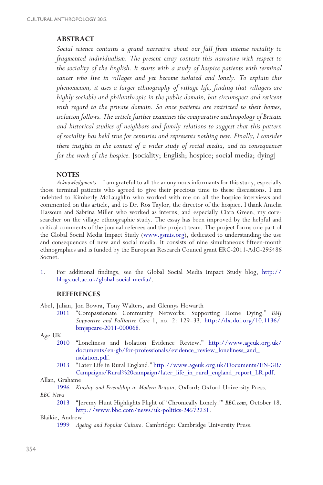# <span id="page-18-0"></span>**ABSTRACT**

*Social science contains a grand narrative about our fall from intense sociality to fragmented individualism. The present essay contests this narrative with respect to the sociality of the English. It starts with a study of hospice patients with terminal cancer who live in villages and yet become isolated and lonely. To explain this phenomenon, it uses a larger ethnography of village life, finding that villagers are highly sociable and philanthropic in the public domain, but circumspect and reticent with regard to the private domain. So once patients are restricted to their homes, isolation follows. The article further examines the comparative anthropology of Britain and historical studies of neighbors and family relations to suggest that this pattern of sociality has held true for centuries and represents nothing new. Finally, I consider these insights in the context of a wider study of social media, and its consequences for the work of the hospice.* [sociality; English; hospice; social media; dying]

#### **NOTES**

*Acknowledgments* I am grateful to all the anonymous informants for this study, especially those terminal patients who agreed to give their precious time to these discussions. I am indebted to Kimberly McLaughlin who worked with me on all the hospice interviews and commented on this article, and to Dr. Ros Taylor, the director of the hospice. I thank Amelia Hassoun and Sabrina Miller who worked as interns, and especially Ciara Green, my coresearcher on the village ethnographic study. The essay has been improved by the helpful and critical comments of the journal referees and the project team. The project forms one part of the Global Social Media Impact Study ([www.gsmis.org\)](http://www.gsmis.org), dedicated to understanding the use and consequences of new and social media. It consists of nine simultaneous fifteen-month ethnographies and is funded by the European Research Council grant ERC-2011-AdG-295486 Socnet.

[1](#page-2-0). For additional findings, see the Global Social Media Impact Study blog, [http://](http://blogs.ucl.ac.uk/global-social-media/) [blogs.ucl.ac.uk/global-social-media/](http://blogs.ucl.ac.uk/global-social-media/).

#### **REFERENCES**

Abel, Julian, Jon Bowra, Tony Walters, and Glennys Howarth

[2011](#page-15-0) "Compassionate Community Networks: Supporting Home Dying." *BMJ Supportive and Palliative Care* 1, no. 2: 129–33. [http://dx.doi.org/10.1136/](http://dx.doi.org/10.1136/bmjspcare-2011-000068) [bmjspcare-2011-000068.](http://dx.doi.org/10.1136/bmjspcare-2011-000068)

Age UK

- [2010](#page-12-0) "Loneliness and Isolation Evidence Review." [http://www.ageuk.org.uk/](http://www.ageuk.org.uk/documents/en-gb/for-professionals/evidence_review_loneliness_and_isolation.pdf) [documents/en-gb/for-professionals/evidence\\_review\\_loneliness\\_and\\_](http://www.ageuk.org.uk/documents/en-gb/for-professionals/evidence_review_loneliness_and_isolation.pdf) [isolation.pdf.](http://www.ageuk.org.uk/documents/en-gb/for-professionals/evidence_review_loneliness_and_isolation.pdf)
- [2013](#page-4-0) "Later Life in Rural England." [http://www.ageuk.org.uk/Documents/EN-GB/](http://www.ageuk.org.uk/Documents/EN-GB/Campaigns/Rural%20campaign/later_life_in_rural_england_report_LR.pdf) [Campaigns/Rural%20campaign/later\\_life\\_in\\_rural\\_england\\_report\\_LR.pdf.](http://www.ageuk.org.uk/Documents/EN-GB/Campaigns/Rural%20campaign/later_life_in_rural_england_report_LR.pdf)

#### Allan, Grahame

[1996](#page-8-0) *Kinship and Friendship in Modern Britain*. Oxford: Oxford University Press. *BBC News*

[2013](#page-4-0) "Jeremy Hunt Highlights Plight of 'Chronically Lonely.'" *BBC.com*, October 18. <http://www.bbc.com/news/uk-politics-24572231>.

Blaikie, Andrew

[1999](#page-10-0) *Ageing and Popular Culture*. Cambridge: Cambridge University Press.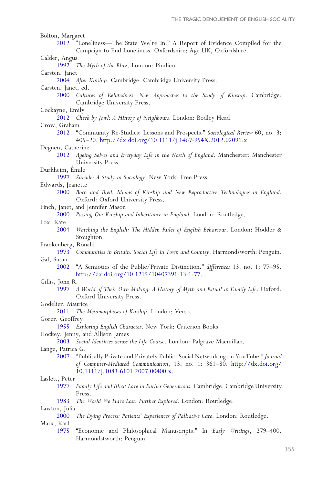<span id="page-19-0"></span>

| Bolton, Margaret                                     |                                                                                                                                                               |
|------------------------------------------------------|---------------------------------------------------------------------------------------------------------------------------------------------------------------|
| 2012                                                 | "Loneliness-The State We're In." A Report of Evidence Compiled for the                                                                                        |
|                                                      | Campaign to End Loneliness. Oxfordshire: Age UK, Oxfordshire.                                                                                                 |
| Calder, Angus                                        |                                                                                                                                                               |
|                                                      | 1992 The Myth of the Blitz. London: Pimlico.                                                                                                                  |
| Carsten, Janet                                       |                                                                                                                                                               |
|                                                      | 2004 After Kinship. Cambridge: Cambridge University Press.                                                                                                    |
| Carsten, Janet, ed.                                  |                                                                                                                                                               |
| 2000                                                 | Cultures of Relatedness: New Approaches to the Study of Kinship. Cambridge:<br>Cambridge University Press.                                                    |
| Cockayne, Emily                                      |                                                                                                                                                               |
|                                                      | 2012 Cheek by Jowl: A History of Neighbours. London: Bodley Head.                                                                                             |
| Crow, Graham                                         |                                                                                                                                                               |
| 2012                                                 | "Community Re-Studies: Lessons and Prospects." Sociological Review 60, no. 3:<br>405-20. http://dx.doi.org/10.1111/j.1467-954X.2012.02091.x.                  |
| Degnen, Catherine                                    |                                                                                                                                                               |
| 2012                                                 | Ageing Selves and Everyday Life in the North of England. Manchester: Manchester<br>University Press.                                                          |
| Durkheim, Emile                                      |                                                                                                                                                               |
| 1997                                                 | Suicide: A Study in Sociology. New York: Free Press.                                                                                                          |
| Edwards, Jeanette                                    |                                                                                                                                                               |
| 2000                                                 | Born and Bred: Idioms of Kinship and New Reproductive Technologies in England.<br>Oxford: Oxford University Press.                                            |
|                                                      | Finch, Janet, and Jennifer Mason                                                                                                                              |
|                                                      | 2000 Passing On: Kinship and Inheritance in England. London: Routledge.                                                                                       |
| Fox, Kate                                            |                                                                                                                                                               |
| 2004                                                 | Watching the English: The Hidden Rules of English Behaviour. London: Hodder &                                                                                 |
|                                                      | Stoughton.                                                                                                                                                    |
| Frankenberg, Ronald                                  |                                                                                                                                                               |
| 1973                                                 | Communities in Britain: Social Life in Town and Country. Harmondsworth: Penguin.                                                                              |
| Gal, Susan                                           |                                                                                                                                                               |
| 2002                                                 | "A Semiotics of the Public/Private Distinction." differences 13, no. 1: 77–95.<br>http://dx.doi.org/10.1215/10407391-13-1-77.                                 |
| Gillis, John R.                                      |                                                                                                                                                               |
| 1997                                                 | A World of Their Own Making: A History of Myth and Ritual in Family Life. Oxford:<br>Oxford University Press.                                                 |
| Godelier, Maurice                                    |                                                                                                                                                               |
| The Metamorphoses of Kinship. London: Verso.<br>2011 |                                                                                                                                                               |
| Gorer, Geoffrey                                      |                                                                                                                                                               |
| 1955                                                 | Exploring English Character. New York: Criterion Books.                                                                                                       |
|                                                      | Hockey, Jenny, and Allison James                                                                                                                              |
| 2003                                                 | Social Identities across the Life Course. London: Palgrave Macmillan.                                                                                         |
| Lange, Patrica G.                                    |                                                                                                                                                               |
| 2007                                                 | "Publically Private and Privately Public: Social Networking on YouTube." Journal<br>of Computer-Mediated Communication, 13, no. 1: 361-80. http://dx.doi.org/ |
|                                                      | 10.1111/j.1083-6101.2007.00400.x.                                                                                                                             |
| Laslett, Peter                                       |                                                                                                                                                               |
| 1977                                                 | Family Life and Illicit Love in Earlier Generations. Cambridge: Cambridge University<br>Press.                                                                |
| 1983                                                 | The World We Have Lost: Further Explored. London: Routledge.                                                                                                  |
| Lawton, Julia                                        |                                                                                                                                                               |
| 2000                                                 | The Dying Process: Patients' Experiences of Palliative Care. London: Routledge.                                                                               |
| Marx, Karl                                           |                                                                                                                                                               |
| 1975                                                 | "Economic and Philosophical Manuscripts." In Early Writings, 279-400.<br>Harmondstworth: Penguin.                                                             |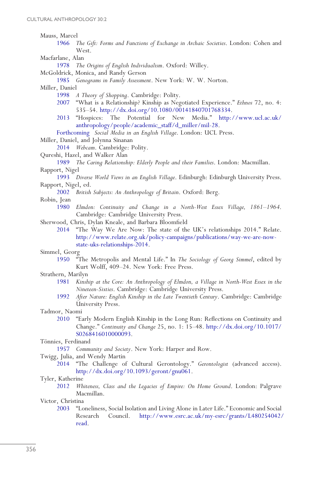<span id="page-20-0"></span>Mauss, Marcel<br>1966 7

- [1966](#page-1-0) *The Gift: Forms and Functions of Exchange in Archaic Societies*. London: Cohen and West.
- Macfarlane, Alan
	- [1978](#page-12-0) *The Origins of English Individualism*. Oxford: Willey.
- McGoldrick, Monica, and Randy Gerson
	- [1985](#page-2-0) *Genograms in Family Assessment*. New York: W. W. Norton.

Miller, Daniel

- [1998](#page-10-0) *A Theory of Shopping*. Cambridge: Polity.
- [2007](#page-13-0) "What is a Relationship? Kinship as Negotiated Experience." *Ethnos* 72, no. 4: 535–54. [http://dx.doi.org/10.1080/00141840701768334.](http://dx.doi.org/10.1080/00141840701768334)
- [2013](#page-1-0) "Hospices: The Potential for New Media." [http://www.ucl.ac.uk/](http://www.ucl.ac.uk/anthropology/people/academic_staff/d_miller/mil-28) [anthropology/people/academic\\_staff/d\\_miller/mil-28.](http://www.ucl.ac.uk/anthropology/people/academic_staff/d_miller/mil-28)

[Forthcoming](#page-17-0) *Social Media in an English Village*. London: UCL Press.

Miller, Daniel, and Jolynna Sinanan

[2014](#page-2-0) *Webcam*. Cambridge: Polity.

Qureshi, Hazel, and Walker Alan

[1989](#page-14-0) *The Caring Relationship: Elderly People and their Families*. London: Macmillan. Rapport, Nigel

[1993](#page-9-0) *Diverse World Views in an English Village*. Edinburgh: Edinburgh University Press. Rapport, Nigel, ed.

- [2002](#page-9-0) *British Subjects: An Anthropology of Britain*. Oxford: Berg.
- Robin, Jean
	- [1980](#page-9-0) *Elmdon: Continuity and Change in a North-West Essex Village, 1861–1964*. Cambridge: Cambridge University Press.
- Sherwood, Chris, Dylan Kneale, and Barbara Bloomfield

[2014](#page-13-0) "The Way We Are Now: The state of the UK's relationships 2014." Relate. [http://www.relate.org.uk/policy-campaigns/publications/way-we-are-now](http://www.relate.org.uk/policy-campaigns/publications/way-we-are-now-state-uks-relationships-2014)[state-uks-relationships-2014](http://www.relate.org.uk/policy-campaigns/publications/way-we-are-now-state-uks-relationships-2014).

# Simmel, Georg<br>1950 "T

<sup>"</sup>The Metropolis and Mental Life." In *The Sociology of Georg Simmel*, edited by Kurt Wolff, 409–24. New York: Free Press.

#### Strathern, Marilyn

- [1981](#page-9-0) *Kinship at the Core: An Anthropology of Elmdon, a Village in North-West Essex in the Nineteen-Sixties*. Cambridge: Cambridge University Press.
- [1992](#page-9-0) *After Nature: English Kinship in the Late Twentieth Century*. Cambridge: Cambridge University Press.

Tadmor, Naomi

[2010](#page-12-0) "Early Modern English Kinship in the Long Run: Reflections on Continuity and Change." *Continuity and Change* 25, no. 1: 15–48. [http://dx.doi.org/10.1017/](http://dx.doi.org/10.1017/S0268416010000093) [S0268416010000093.](http://dx.doi.org/10.1017/S0268416010000093)

Tönnies, Ferdinand

[1957](#page-1-0) *Community and Society*. New York: Harper and Row.

Twigg, Julia, and Wendy Martin

[2014](#page-10-0) "The Challenge of Cultural Gerontology." *Gerontologist* (advanced access). <http://dx.doi.org/10.1093/geront/gnu061>.

Tyler, Katherine

[2012](#page-9-0) *Whiteness, Class and the Legacies of Empire: On Home Ground*. London: Palgrave Macmillan.

Victor, Christina<br>2003 "Lo

[2003](#page-4-0) "Loneliness, Social Isolation and Living Alone in Later Life." Economic and Social Research Council. [http://www.esrc.ac.uk/my-esrc/grants/L480254042/](http://www.esrc.ac.uk/my-esrc/grants/L480254042/read) [read.](http://www.esrc.ac.uk/my-esrc/grants/L480254042/read)